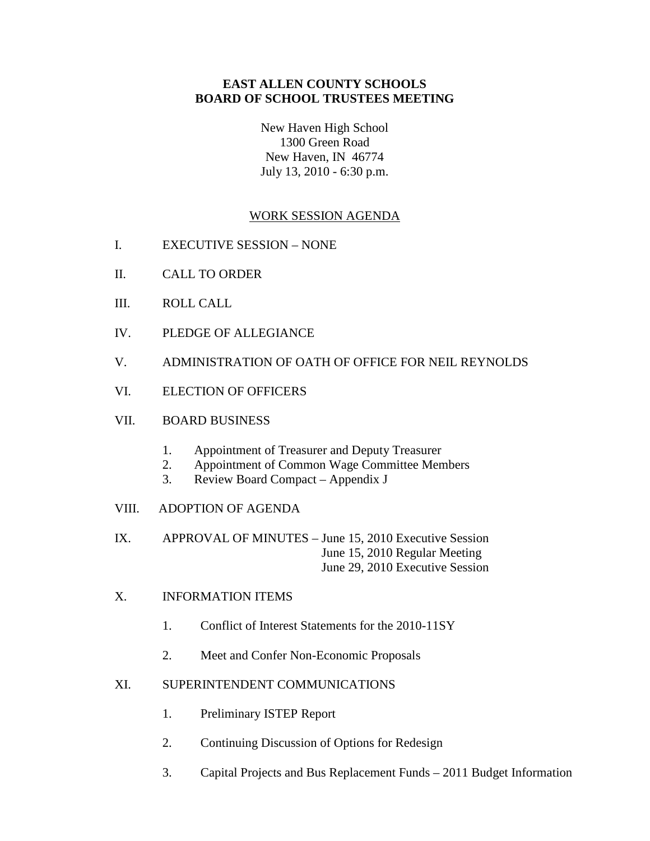## **EAST ALLEN COUNTY SCHOOLS BOARD OF SCHOOL TRUSTEES MEETING**

New Haven High School 1300 Green Road New Haven, IN 46774 July 13, 2010 - 6:30 p.m.

# WORK SESSION AGENDA

- I. EXECUTIVE SESSION NONE
- II. CALL TO ORDER
- III. ROLL CALL
- IV. PLEDGE OF ALLEGIANCE
- V. ADMINISTRATION OF OATH OF OFFICE FOR NEIL REYNOLDS
- VI. ELECTION OF OFFICERS

## VII. BOARD BUSINESS

- 1. Appointment of Treasurer and Deputy Treasurer
- 2. Appointment of Common Wage Committee Members
- 3. Review Board Compact Appendix J
- VIII. ADOPTION OF AGENDA

IX. APPROVAL OF MINUTES – June 15, 2010 Executive Session June 15, 2010 Regular Meeting June 29, 2010 Executive Session

- X. INFORMATION ITEMS
	- 1. Conflict of Interest Statements for the 2010-11SY
	- 2. Meet and Confer Non-Economic Proposals

#### XI. SUPERINTENDENT COMMUNICATIONS

- 1. Preliminary ISTEP Report
- 2. Continuing Discussion of Options for Redesign
- 3. Capital Projects and Bus Replacement Funds 2011 Budget Information